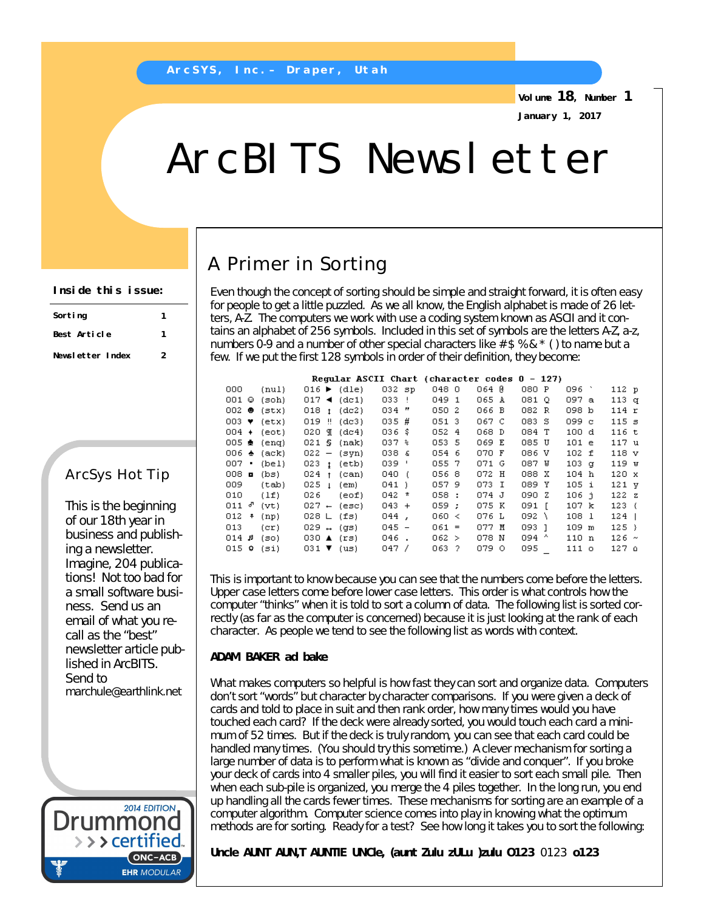**Volume 18, Number 1 January 1, 2017**

# ArcBITS Newsletter

# A Primer in Sorting

Even though the concept of sorting should be simple and straight forward, it is often easy for people to get a little puzzled. As we all know, the English alphabet is made of 26 letters, A-Z. The computers we work with use a coding system known as ASCII and it contains an alphabet of 256 symbols. Included in this set of symbols are the letters A-Z, a-z, numbers 0-9 and a number of other special characters like  $# $$  % &  $*$  () to name but a few. If we put the first 128 symbols in order of their definition, they become:

|                   |       |                                   | Reqular ASCII Chart (character codes 0 – 127) |                  |     |         |       |       |   |                  |                  |  |
|-------------------|-------|-----------------------------------|-----------------------------------------------|------------------|-----|---------|-------|-------|---|------------------|------------------|--|
| 000.              | (nul) | $016$ $\blacktriangleright$ (dle) |                                               | $032$ sp         |     | 048 0   | O64 0 | 080 P |   | 096 `            | 112 p            |  |
| 001 ©             | (soh) | $017 \triangleleft (det)$         |                                               | 033 !            |     | 049 1   | 065 A | 081 Q |   | 097 a            | 113 q            |  |
| OO2 ●             | (stx) | $018 + (dc2)$                     |                                               | 034 "            |     | 050 2   | 066 B | 082 R |   | 098 b            | 114r             |  |
| 003 ♥ (etx)       |       | $019$ !! (dc3)                    |                                               | $035$ #          |     | 051 3   | 067 C | 083 S |   | 099 c            | 115 <sub>s</sub> |  |
| 004 +             | (eot) | O2O ¶                             | (dc4)                                         | ០36 នំ           |     | 052 4   | 068 D | 084 T |   | 100 d            | 116 t            |  |
| 005 ±             | (eng) | 021S                              | (nak)                                         | $037*$           |     | 053 5   | 069 E | 085 U |   | 101 e            | 117 u            |  |
| OO6 ♠             | (ack) | $022 - (syn)$                     |                                               | 038 <sub>6</sub> |     | 054 6   | 070 F | 086 V |   | 102 f            | 118 v            |  |
| oo7 •             | (bel) | 023 <sub>1</sub>                  | (etb)                                         | 039 '            |     | 055 7   | 071 G | 087 W |   | 103 <sub>q</sub> | 119 w            |  |
| 008 ⊟             | (bs)  | $024 +$                           | (can)                                         | 040.             | - 6 | 056 8   | 072 H | 088 X |   | 104 h            | 120 x            |  |
| 009               | (tab) | 025 <sub>1</sub>                  | (em)                                          | 041)             |     | 0579    | 073 I | 089 Y |   | 105 i            | 121 <sub>y</sub> |  |
| 010               | (1f)  | 026                               | (eof)                                         | $042 *$          |     | 058:    | 074 J | 090 Z |   | 106 i            | 122z             |  |
| 811 ∂             | (vt)  | $027 - (esc)$                     |                                               | $043 +$          |     | 059:    | 075 K | 091 F |   | 107 k            | 123(             |  |
| 012.<br>$\ddot{}$ | (np)  | 028 L (fs)                        |                                               | $044$ ,          |     | 060 <   | 076 L | 092   | Λ | 108 1            | 124              |  |
| 013.              | (cr)  | $029 + (gs)$                      |                                               | $045 -$          |     | $061 =$ | 077 M | 093 1 |   | 109 m            | $125$ }          |  |
| 8 14              | (so). | 030 $\triangle$ (rs)              |                                               | 046.             |     | 062 >   | 078 N | 094 ^ |   | 110 n            | $126$ ~          |  |
| 015 O             | (si)  | $031$ ▼ (us)                      |                                               | 047 /            |     | 063 ?   | 079 O | 095   |   | 111 о            | ە 127            |  |
|                   |       |                                   |                                               |                  |     |         |       |       |   |                  |                  |  |

This is important to know because you can see that the numbers come before the letters. Upper case letters come before lower case letters. This order is what controls how the computer "thinks" when it is told to sort a column of data. The following list is sorted correctly (as far as the computer is concerned) because it is just looking at the rank of each character. As people we tend to see the following list as words with context.

#### **ADAM BAKER ad bake**

What makes computers so helpful is how fast they can sort and organize data. Computers don't sort "words" but character by character comparisons. If you were given a deck of cards and told to place in suit and then rank order, how many times would you have touched each card? If the deck were already sorted, you would touch each card a minimum of 52 times. But if the deck is truly random, you can see that each card could be handled many times. (You should try this sometime.) A clever mechanism for sorting a large number of data is to perform what is known as "divide and conquer". If you broke your deck of cards into 4 smaller piles, you will find it easier to sort each small pile. Then when each sub-pile is organized, you merge the 4 piles together. In the long run, you end up handling all the cards fewer times. These mechanisms for sorting are an example of a computer algorithm. Computer science comes into play in knowing what the optimum methods are for sorting. Ready for a test? See how long it takes you to sort the following:

**Uncle AUNT AUN,T AUNTIE UNCle, (aunt Zulu zULu )zulu O123** 0123 **o123**

#### **Inside this issue:**

| Sorting          |   |  |  |
|------------------|---|--|--|
| Best Article     |   |  |  |
| Newsletter Index | 2 |  |  |

### ArcSys Hot Tip

This is the beginning of our 18th year in business and publishing a newsletter. Imagine, 204 publications! Not too bad for a small software business. Send us an email of what you recall as the "best" newsletter article published in ArcBITS. Send to [marchule@earthlink.net](mailto:marchule@earthlink.net)